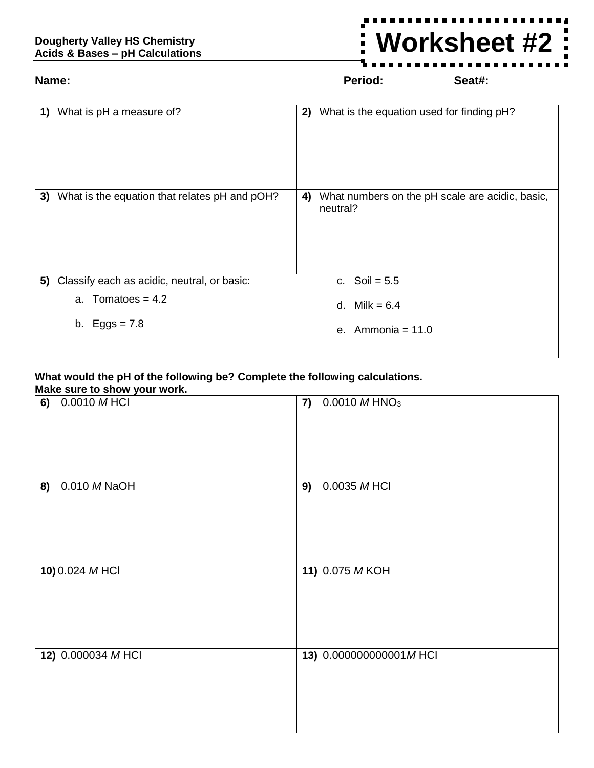## **Dougherty Valley HS Chemistry Acids & Bases – pH Calculations**

## **Name: Period: Seat#:**

**Worksheet #2** $\blacksquare$ 

| 1) | What is pH a measure of?                      | What is the equation used for finding pH?<br>2)                   |  |
|----|-----------------------------------------------|-------------------------------------------------------------------|--|
| 3) | What is the equation that relates pH and pOH? | What numbers on the pH scale are acidic, basic,<br>4)<br>neutral? |  |
| 5) | Classify each as acidic, neutral, or basic:   | Soil = $5.5$<br>$C-$                                              |  |
|    | a. Tomatoes = $4.2$                           | d. Milk = $6.4$                                                   |  |
|    | b. Eggs = $7.8$                               | e. Ammonia = $11.0$                                               |  |

## **What would the pH of the following be? Complete the following calculations. Make sure to show your work.**

| <b>INTER SUPE TO SITUM YOUT WOTK.</b> |                        |  |  |  |  |  |  |
|---------------------------------------|------------------------|--|--|--|--|--|--|
| 6) 0.0010 MHCI                        | 7) $0.0010 M HNO3$     |  |  |  |  |  |  |
| 8) 0.010 M NaOH                       | 0.0035 M HCI<br>9)     |  |  |  |  |  |  |
| 10) 0.024 MHCl                        | 11) 0.075 MKOH         |  |  |  |  |  |  |
| 12) 0.000034 MHCI                     | 13) 0.000000000001MHCI |  |  |  |  |  |  |